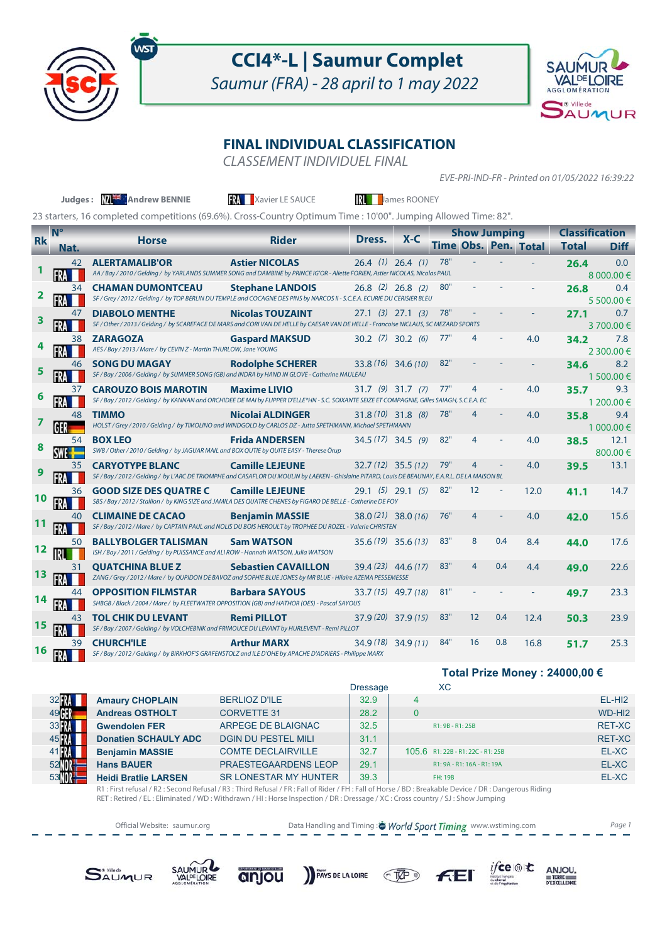

## **CCI4\*-L | Saumur Complet**

Saumur (FRA) - 28 april to 1 may 2022



## **FINAL INDIVIDUAL CLASSIFICATION**

CLASSEMENT INDIVIDUEL FINAL

EVE-PRI-IND-FR - Printed on 01/05/2022 16:39:22

|           |                                                                                                                | Judges: MAX Andrew BENNIE                                                                                                                                                    | <b>RA</b> Xavier LE SAUCE  |                       | James ROONEY |                             |                |                     |      |                                       |                   |
|-----------|----------------------------------------------------------------------------------------------------------------|------------------------------------------------------------------------------------------------------------------------------------------------------------------------------|----------------------------|-----------------------|--------------|-----------------------------|----------------|---------------------|------|---------------------------------------|-------------------|
|           | 23 starters, 16 completed competitions (69.6%). Cross-Country Optimum Time: 10'00". Jumping Allowed Time: 82". |                                                                                                                                                                              |                            |                       |              |                             |                |                     |      |                                       |                   |
| <b>Rk</b> | $N^{\circ}$<br>Nat.                                                                                            | <b>Horse</b>                                                                                                                                                                 | <b>Rider</b>               | Dress.                | $X-C$        | <b>Time Obs. Pen. Total</b> |                | <b>Show Jumping</b> |      | <b>Classification</b><br><b>Total</b> | <b>Diff</b>       |
|           | 42                                                                                                             | <b>ALERTAMALIB'OR</b><br>AA / Bay / 2010 / Gelding / by YARLANDS SUMMER SONG and DAMBINE by PRINCE IG'OR - Aliette FORIEN, Astier NICOLAS, Nicolas PAUL                      | <b>Astier NICOLAS</b>      | $26.4$ (1) $26.4$ (1) |              | 78"                         |                |                     |      | 26.4                                  | 0.0<br>8 000,00 € |
|           | 34                                                                                                             | <b>CHAMAN DUMONTCEAU</b><br>SF / Grey / 2012 / Gelding / by TOP BERLIN DU TEMPLE and COCAGNE DES PINS by NARCOS II - S.C.E.A. ECURIE DU CERISIER BLEU                        | <b>Stephane LANDOIS</b>    | $26.8$ (2) $26.8$ (2) |              | 80"                         |                |                     |      | 26.8                                  | 0.4<br>5 500.00 € |
|           | 47                                                                                                             | <b>DIABOLO MENTHE</b><br>SF / Other / 2013 / Gelding / by SCAREFACE DE MARS and CORI VAN DE HELLE by CAESAR VAN DE HELLE - Francoise NICLAUS, SC MEZARD SPORTS               | <b>Nicolas TOUZAINT</b>    | $27.1$ (3) $27.1$ (3) |              | 78"                         |                |                     |      | 27.1                                  | 0.7<br>3700.00€   |
|           | 38                                                                                                             | <b>ZARAGOZA</b><br>AES / Bay / 2013 / Mare / by CEVIN Z - Martin THURLOW, Jane YOUNG                                                                                         | <b>Gaspard MAKSUD</b>      | $30.2$ (7) $30.2$ (6) |              | 77"                         | 4              |                     | 4.0  | 34.2                                  | 7.8<br>2 300.00 € |
|           | 46                                                                                                             | <b>SONG DU MAGAY</b><br>SF / Bay / 2006 / Gelding / by SUMMER SONG (GB) and INDRA by HAND IN GLOVE - Catherine NAULEAU                                                       | <b>Rodolphe SCHERER</b>    | $33.8(16)$ 34.6 (10)  |              | 82"                         |                |                     |      | 34.6                                  | 8.2<br>1 500.00 € |
|           | 37                                                                                                             | <b>CAROUZO BOIS MAROTIN</b><br>SF / Bay / 2012 / Gelding / by KANNAN and ORCHIDEE DE MAI by FLIPPER D'ELLE*HN - S.C. SOIXANTE SEIZE ET COMPAGNIE, Gilles SAIAGH, S.C.E.A. EC | <b>Maxime LIVIO</b>        | $31.7$ (9) $31.7$ (7) |              | 77"                         | 4              |                     | 4.0  | 35.7                                  | 9.3<br>1 200.00 € |
|           | 48<br>GER                                                                                                      | <b>TIMMO</b><br>HOLST / Grey / 2010 / Gelding / by TIMOLINO and WINDGOLD by CARLOS DZ - Jutta SPETHMANN, Michael SPETHMANN                                                   | Nicolai ALDINGER           | $31.8(10)$ 31.8 (8)   |              | 78"                         | 4              |                     | 4.0  | 35.8                                  | 9.4<br>1 000.00 € |
|           | 54                                                                                                             | <b>BOX LEO</b><br>SWB / Other / 2010 / Gelding / by JAGUAR MAIL and BOX QUTIE by QUITE EASY - Therese Örup                                                                   | <b>Frida ANDERSEN</b>      | $34.5(17)$ 34.5 (9)   |              | 82"                         | 4              |                     | 4.0  | 38.5                                  | 12.1<br>800.00 €  |
|           | 35                                                                                                             | <b>CARYOTYPE BLANC</b><br>SF / Bay / 2012 / Gelding / by L'ARC DE TRIOMPHE and CASAFLOR DU MOULIN by LAEKEN - Ghislaine PITARD, Louis DE BEAUNAY, E.A.R.L. DE LA MAISON BL   | <b>Camille LEJEUNE</b>     | $32.7(12)$ 35.5 (12)  |              | 79"                         | 4              |                     | 4.0  | 39.5                                  | 13.1              |
| 10        | 36                                                                                                             | <b>GOOD SIZE DES QUATRE C</b><br>SBS / Bay / 2012 / Stallion / by KING SIZE and JAMILA DES QUATRE CHENES by FIGARO DE BELLE - Catherine DE FOY                               | <b>Camille LEJEUNE</b>     | $29.1$ (5) $29.1$ (5) |              | 82"                         | 12             |                     | 12.0 | 41.1                                  | 14.7              |
|           | 40                                                                                                             | <b>CLIMAINE DE CACAO</b><br>SF / Bay / 2012 / Mare / by CAPTAIN PAUL and NOLIS DU BOIS HEROULT by TROPHEE DU ROZEL - Valerie CHRISTEN                                        | <b>Benjamin MASSIE</b>     | $38.0(21)$ 38.0 (16)  |              | 76"                         | 4              |                     | 4.0  | 42.0                                  | 15.6              |
| 12        | 50                                                                                                             | <b>BALLYBOLGER TALISMAN</b><br>ISH / Bay / 2011 / Gelding / by PUISSANCE and ALI ROW - Hannah WATSON, Julia WATSON                                                           | <b>Sam WATSON</b>          | $35.6(19)$ 35.6 (13)  |              | 83"                         | 8              | 0.4                 | 8.4  | 44.0                                  | 17.6              |
| 13        | 31                                                                                                             | <b>OUATCHINA BLUE Z</b><br>ZANG / Grey / 2012 / Mare / by QUPIDON DE BAVOZ and SOPHIE BLUE JONES by MR BLUE - Hilaire AZEMA PESSEMESSE                                       | <b>Sebastien CAVAILLON</b> | $39.4(23)$ 44.6 (17)  |              | 83"                         | $\overline{4}$ | 0.4                 | 4.4  | 49.0                                  | 22.6              |
|           | 44                                                                                                             | <b>OPPOSITION FILMSTAR</b><br>SHBGB / Black / 2004 / Mare / by FLEETWATER OPPOSITION (GB) and HATHOR (OES) - Pascal SAYOUS                                                   | <b>Barbara SAYOUS</b>      | 33.7 (15) 49.7 (18)   |              | 81"                         |                |                     |      | 49.7                                  | 23.3              |
| 15        | 43                                                                                                             | <b>TOL CHIK DU LEVANT</b><br>SF / Bay / 2007 / Gelding / by VOLCHEBNIK and FRIMOUCE DU LEVANT by HURLEVENT - Remi PILLOT                                                     | <b>Remi PILLOT</b>         | 37.9 (20) 37.9 (15)   |              | 83"                         | 12             | 0.4                 | 12.4 | 50.3                                  | 23.9              |
| 16        | 39                                                                                                             | <b>CHURCH'ILE</b><br>SF / Bay / 2012 / Gelding / by BIRKHOF'S GRAFENSTOLZ and ILE D'OHE by APACHE D'ADRIERS - Philippe MARX                                                  | <b>Arthur MARX</b>         | $34.9(18)$ 34.9 (11)  |              | 84"                         | 16             | 0.8                 | 16.8 | 51.7                                  | 25.3              |

|               |                                                                                                                                                  |                              | <b>Dressage</b> |  | ХC                                |                    |  |
|---------------|--------------------------------------------------------------------------------------------------------------------------------------------------|------------------------------|-----------------|--|-----------------------------------|--------------------|--|
| 32 <b>FM</b>  | <b>Amaury CHOPLAIN</b>                                                                                                                           | <b>BERLIOZ D'ILE</b>         | 32.9            |  |                                   | $EL-HI2$           |  |
| 4901          | <b>Andreas OSTHOLT</b>                                                                                                                           | <b>CORVETTE 31</b>           | 28.2            |  |                                   | WD-HI <sub>2</sub> |  |
| 33 <b>FM</b>  | <b>Gwendolen FER</b>                                                                                                                             | ARPEGE DE BLAIGNAC           | 32.5            |  | R1: 9B - R1: 25B                  | <b>RET-XC</b>      |  |
| 45 <b>M</b>   | <b>Donatien SCHAULY ADC</b>                                                                                                                      | <b>DGIN DU PESTEL MILI</b>   | 31.1            |  |                                   | <b>RET-XC</b>      |  |
| 41 <b>FRA</b> | <b>Benjamin MASSIE</b>                                                                                                                           | <b>COMTE DECLAIRVILLE</b>    | 32.7            |  | 105.6 R1: 22B - R1: 22C - R1: 25B | EL-XC              |  |
| 52 NOR        | <b>Hans BAUER</b>                                                                                                                                | <b>PRAESTEGAARDENS LEOP</b>  | 29.1            |  | R1: 9A - R1: 16A - R1: 19A        | EL-XC              |  |
|               | <b>Heidi Bratlie LARSEN</b>                                                                                                                      | <b>SR LONESTAR MY HUNTER</b> | 39.3            |  | <b>FH: 19B</b>                    | EL-XC              |  |
|               | R1: First refusal / R2: Second Refusal / R3: Third Refusal / FR: Fall of Rider / FH: Fall of Horse / BD: Breakable Device / DR: Dangerous Riding |                              |                 |  |                                   |                    |  |

R1 : First refusal / R2 : Second Refusal / R3 : Third Refusal / FR : Fall of Rider / FH : Fall of Horse / BD : Breakable Device / DR : Dangerous Riding<br>RET : Retired / EL : Eliminated / WD : Withdrawn / HI : Horse Inspecti

Official Website: saumur.org **Data Handling and Timing : World Sport Timing** www.wstiming.com Page 1













**Total Prize Money : 24000,00 €**